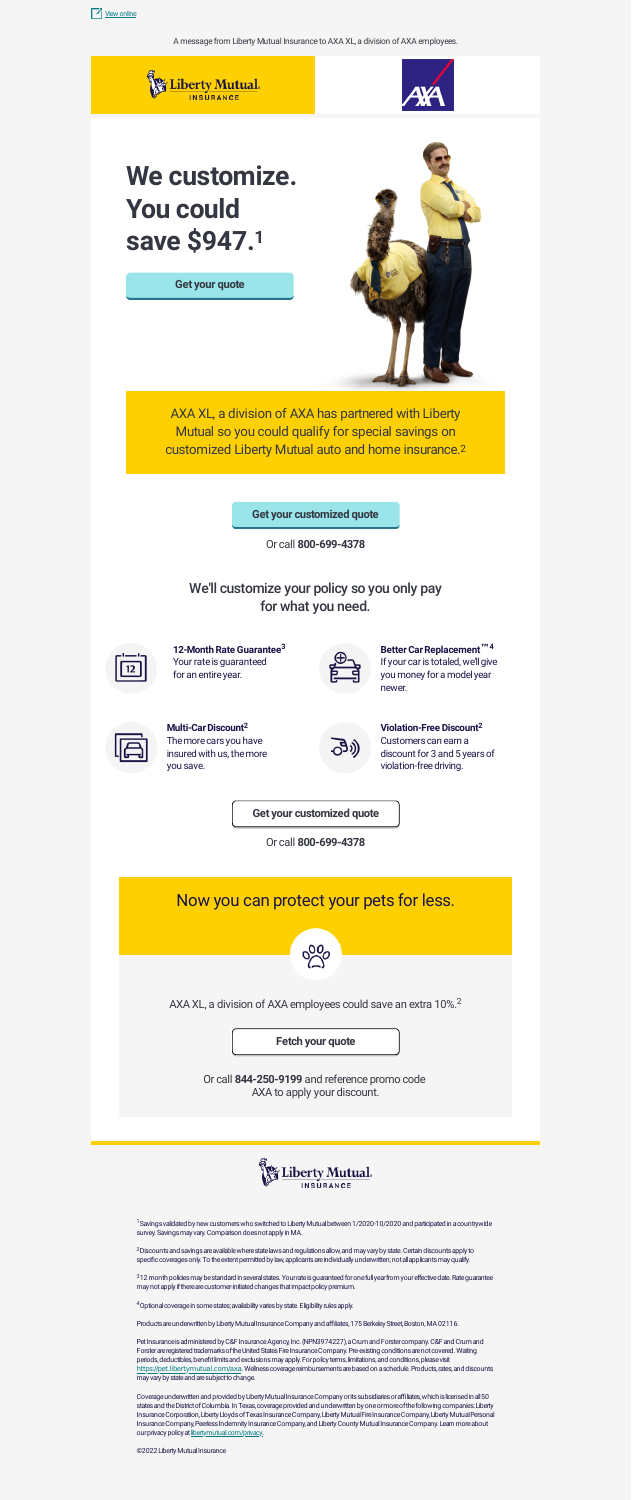A message from Liberty Mutual Insurance to AXA XL, a division of AXA employees.





# **We customize. You could save \$947. 1**

#### **Get your [quote](https://www.libertymutual.com/multi-online-quotes?selectedOpt=auto_home&src=aff_3em_m_0114050_axaxl_010122&MM_webID=0000009534)**

**Better Car Replacement**™4 If your car is totaled, we'll give you money for a model year newer.



**Violation-Free Discount 2** Customers can earn a discount for 3 and 5 years of violation-free driving.

**Multi-CarDiscount 2** The more cars you have insured with us, the more you save.



Or call **[844-250-9199](tel:8442509199)** and reference promo code AXA to apply your discount.



1Savings validated by new customers who switched to Liberty Mutual between 1/2020-10/2020 and participated in a countrywide survey. Savings may vary. Comparison does not apply in MA.

<sup>2</sup>Discounts and savings are available where state laws and regulations allow, and may vary by state. Certain discounts apply to specific coverages only. To the extent permitted by law, applicants are individually underwritten; not all applicants may qualify.

312 month policies may be standard in several states. Your rate is guaranteed for one full year from your effective date. Rate guarantee may not apply if there are customer-initiated changes that impact policy premium.

4 Optional coverage in some states; availability varies by state. Eligibility rules apply.

Products are underwritten by Liberty Mutual Insurance Company and affiliates, 175 Berkeley Street, Boston, MA 02116.

Pet Insurance is administered by C&F Insurance Agency, Inc. (NPN3974227), a Crum and Forster company. C&F and Crum and Forster are registered trademarks of the United States Fire Insurance Company. Pre-existing conditions are not covered. Waiting periods, deductibles, benefit limits and exclusions may apply. For policy terms, limitations, and conditions, please visit [https://pet.libertymutual.com/axa](https://pet.libertymutual.com/axa?utm_source=emt&utm_medium=em&utm_campaign=modah). Wellness coverage reimbursements are based on a schedule. Products, rates, and discounts may vary by state and are subject to change.

Coverage underwritten and provided by Liberty Mutual Insurance Company or its subsidiaries or affiliates, which is licensed in all 50 states and the District of Columbia. In Texas, coverage provided and underwritten by one or more of the following companies: Liberty Insurance Corporation, Liberty Lloyds of Texas Insurance Company, Liberty Mutual Fire Insurance Company, Liberty Mutual Personal Insurance Company, Peerless Indemnity Insurance Company, and Liberty County Mutual Insurance Company. Learn more about our privacy policy at [libertymutual.com/privacy.](https://www.libertymutual.com/privacy)

©2022 Liberty Mutual Insurance



**Get your [customized](https://www.libertymutual.com/multi-online-quotes?selectedOpt=auto_home&src=aff_3em_m_0114050_axaxl_010122&MM_webID=0000009534) quote**

Or call **[800-699-4378](tel:8006994378)**

We'll customize your policy so you only pay for what you need.



12-Month Rate Guarantee<sup>3</sup> Your rate is guaranteed for an entire year.



#### **Get your [customized](https://www.libertymutual.com/multi-online-quotes?selectedOpt=auto_home&src=aff_3em_m_0114050_axaxl_010122&MM_webID=0000009534) quote**







AXA XL, a division of AXA employees could save an extra 10%.<sup>2</sup>

**Fetch your [quote](https://pet.libertymutual.com/axa?utm_source=emt&utm_medium=em&utm_campaign=modah)**